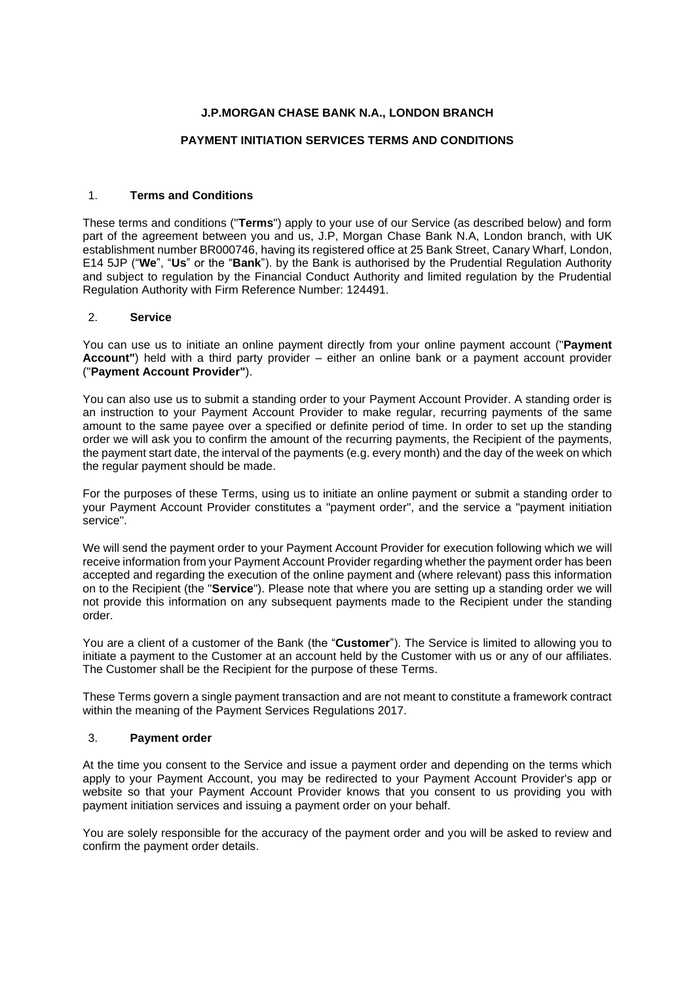# **J.P.MORGAN CHASE BANK N.A., LONDON BRANCH**

## **PAYMENT INITIATION SERVICES TERMS AND CONDITIONS**

## 1. **Terms and Conditions**

These terms and conditions ("**Terms**") apply to your use of our Service (as described below) and form part of the agreement between you and us, J.P, Morgan Chase Bank N.A, London branch, with UK establishment number BR000746, having its registered office at 25 Bank Street, Canary Wharf, London, E14 5JP ("**We**", "**Us**" or the "**Bank**"). by the Bank is authorised by the Prudential Regulation Authority and subject to regulation by the Financial Conduct Authority and limited regulation by the Prudential Regulation Authority with Firm Reference Number: 124491.

## 2. **Service**

You can use us to initiate an online payment directly from your online payment account ("**Payment Account"**) held with a third party provider – either an online bank or a payment account provider ("**Payment Account Provider"**).

You can also use us to submit a standing order to your Payment Account Provider. A standing order is an instruction to your Payment Account Provider to make regular, recurring payments of the same amount to the same payee over a specified or definite period of time. In order to set up the standing order we will ask you to confirm the amount of the recurring payments, the Recipient of the payments, the payment start date, the interval of the payments (e.g. every month) and the day of the week on which the regular payment should be made.

For the purposes of these Terms, using us to initiate an online payment or submit a standing order to your Payment Account Provider constitutes a "payment order", and the service a "payment initiation service".

We will send the payment order to your Payment Account Provider for execution following which we will receive information from your Payment Account Provider regarding whether the payment order has been accepted and regarding the execution of the online payment and (where relevant) pass this information on to the Recipient (the "**Service**"). Please note that where you are setting up a standing order we will not provide this information on any subsequent payments made to the Recipient under the standing order.

You are a client of a customer of the Bank (the "**Customer**"). The Service is limited to allowing you to initiate a payment to the Customer at an account held by the Customer with us or any of our affiliates. The Customer shall be the Recipient for the purpose of these Terms.

These Terms govern a single payment transaction and are not meant to constitute a framework contract within the meaning of the Payment Services Regulations 2017.

## 3. **Payment order**

At the time you consent to the Service and issue a payment order and depending on the terms which apply to your Payment Account, you may be redirected to your Payment Account Provider's app or website so that your Payment Account Provider knows that you consent to us providing you with payment initiation services and issuing a payment order on your behalf.

You are solely responsible for the accuracy of the payment order and you will be asked to review and confirm the payment order details.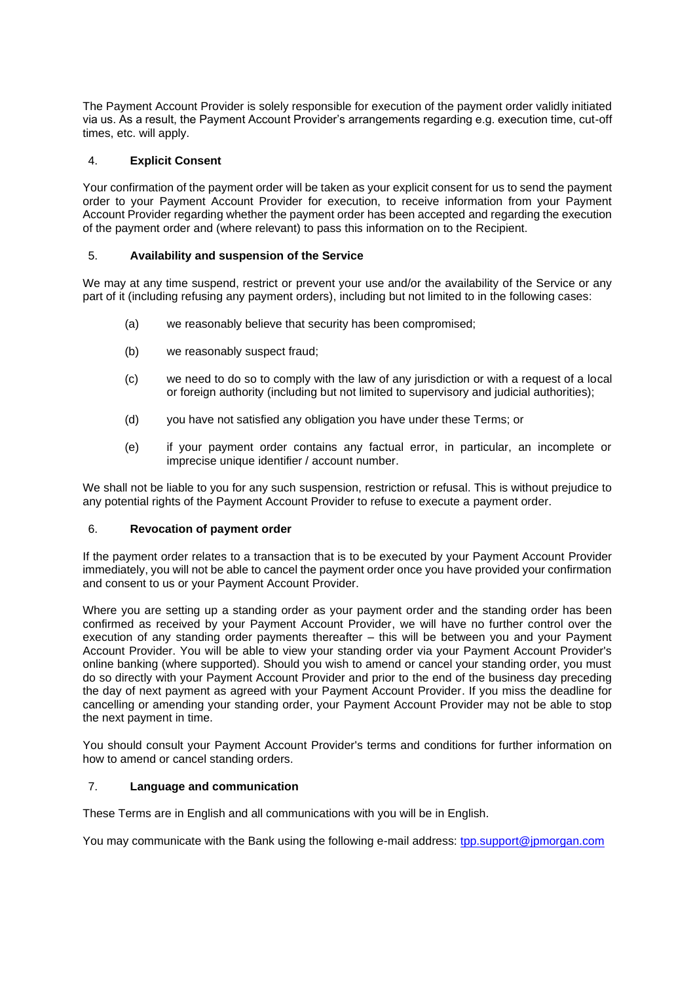The Payment Account Provider is solely responsible for execution of the payment order validly initiated via us. As a result, the Payment Account Provider's arrangements regarding e.g. execution time, cut-off times, etc. will apply.

## 4. **Explicit Consent**

Your confirmation of the payment order will be taken as your explicit consent for us to send the payment order to your Payment Account Provider for execution, to receive information from your Payment Account Provider regarding whether the payment order has been accepted and regarding the execution of the payment order and (where relevant) to pass this information on to the Recipient.

### 5. **Availability and suspension of the Service**

We may at any time suspend, restrict or prevent your use and/or the availability of the Service or any part of it (including refusing any payment orders), including but not limited to in the following cases:

- (a) we reasonably believe that security has been compromised;
- (b) we reasonably suspect fraud;
- (c) we need to do so to comply with the law of any jurisdiction or with a request of a local or foreign authority (including but not limited to supervisory and judicial authorities);
- (d) you have not satisfied any obligation you have under these Terms; or
- (e) if your payment order contains any factual error, in particular, an incomplete or imprecise unique identifier / account number.

We shall not be liable to you for any such suspension, restriction or refusal. This is without prejudice to any potential rights of the Payment Account Provider to refuse to execute a payment order.

### 6. **Revocation of payment order**

If the payment order relates to a transaction that is to be executed by your Payment Account Provider immediately, you will not be able to cancel the payment order once you have provided your confirmation and consent to us or your Payment Account Provider.

Where you are setting up a standing order as your payment order and the standing order has been confirmed as received by your Payment Account Provider, we will have no further control over the execution of any standing order payments thereafter – this will be between you and your Payment Account Provider. You will be able to view your standing order via your Payment Account Provider's online banking (where supported). Should you wish to amend or cancel your standing order, you must do so directly with your Payment Account Provider and prior to the end of the business day preceding the day of next payment as agreed with your Payment Account Provider. If you miss the deadline for cancelling or amending your standing order, your Payment Account Provider may not be able to stop the next payment in time.

You should consult your Payment Account Provider's terms and conditions for further information on how to amend or cancel standing orders.

## <span id="page-1-0"></span>7. **Language and communication**

These Terms are in English and all communications with you will be in English.

You may communicate with the Bank using the following e-mail address: [tpp.support@jpmorgan.com](mailto:tpp.support@jpmorgan.com)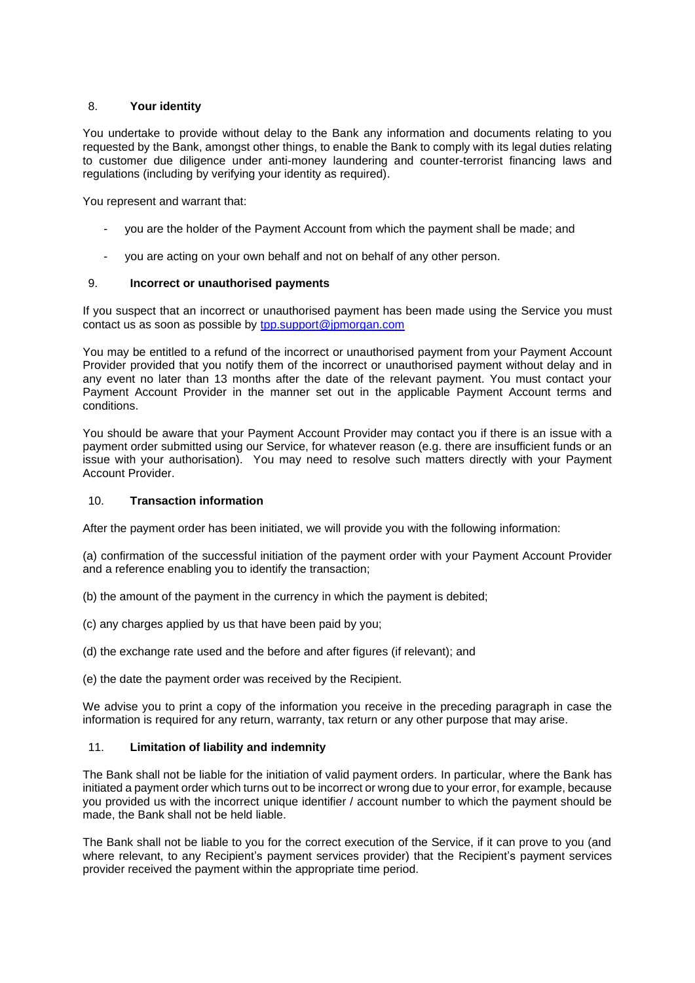### 8. **Your identity**

You undertake to provide without delay to the Bank any information and documents relating to you requested by the Bank, amongst other things, to enable the Bank to comply with its legal duties relating to customer due diligence under anti-money laundering and counter-terrorist financing laws and regulations (including by verifying your identity as required).

You represent and warrant that:

- you are the holder of the Payment Account from which the payment shall be made; and
- you are acting on your own behalf and not on behalf of any other person.

### <span id="page-2-0"></span>9. **Incorrect or unauthorised payments**

If you suspect that an incorrect or unauthorised payment has been made using the Service you must contact us as soon as possible by [tpp.support@jpmorgan.com](mailto:tpp.support@jpmorgan.com)

You may be entitled to a refund of the incorrect or unauthorised payment from your Payment Account Provider provided that you notify them of the incorrect or unauthorised payment without delay and in any event no later than 13 months after the date of the relevant payment. You must contact your Payment Account Provider in the manner set out in the applicable Payment Account terms and conditions.

You should be aware that your Payment Account Provider may contact you if there is an issue with a payment order submitted using our Service, for whatever reason (e.g. there are insufficient funds or an issue with your authorisation). You may need to resolve such matters directly with your Payment Account Provider.

## 10. **Transaction information**

After the payment order has been initiated, we will provide you with the following information:

(a) confirmation of the successful initiation of the payment order with your Payment Account Provider and a reference enabling you to identify the transaction;

- (b) the amount of the payment in the currency in which the payment is debited;
- (c) any charges applied by us that have been paid by you;
- (d) the exchange rate used and the before and after figures (if relevant); and
- (e) the date the payment order was received by the Recipient.

We advise you to print a copy of the information you receive in the preceding paragraph in case the information is required for any return, warranty, tax return or any other purpose that may arise.

#### 11. **Limitation of liability and indemnity**

The Bank shall not be liable for the initiation of valid payment orders. In particular, where the Bank has initiated a payment order which turns out to be incorrect or wrong due to your error, for example, because you provided us with the incorrect unique identifier / account number to which the payment should be made, the Bank shall not be held liable.

The Bank shall not be liable to you for the correct execution of the Service, if it can prove to you (and where relevant, to any Recipient's payment services provider) that the Recipient's payment services provider received the payment within the appropriate time period.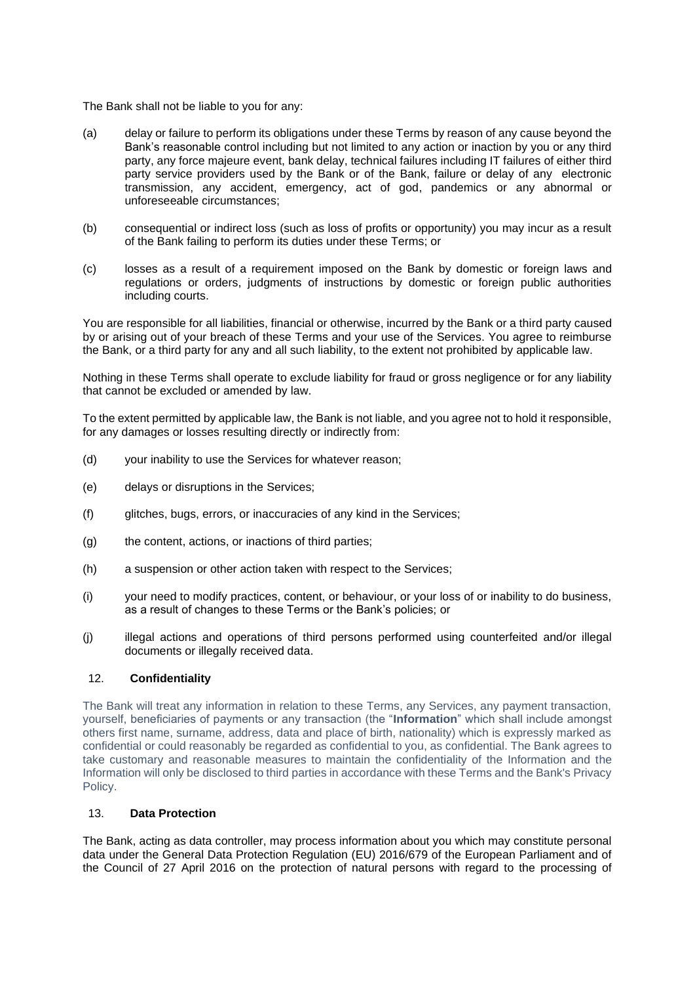The Bank shall not be liable to you for any:

- (a) delay or failure to perform its obligations under these Terms by reason of any cause beyond the Bank's reasonable control including but not limited to any action or inaction by you or any third party, any force majeure event, bank delay, technical failures including IT failures of either third party service providers used by the Bank or of the Bank, failure or delay of any electronic transmission, any accident, emergency, act of god, pandemics or any abnormal or unforeseeable circumstances;
- (b) consequential or indirect loss (such as loss of profits or opportunity) you may incur as a result of the Bank failing to perform its duties under these Terms; or
- (c) losses as a result of a requirement imposed on the Bank by domestic or foreign laws and regulations or orders, judgments of instructions by domestic or foreign public authorities including courts.

You are responsible for all liabilities, financial or otherwise, incurred by the Bank or a third party caused by or arising out of your breach of these Terms and your use of the Services. You agree to reimburse the Bank, or a third party for any and all such liability, to the extent not prohibited by applicable law.

Nothing in these Terms shall operate to exclude liability for fraud or gross negligence or for any liability that cannot be excluded or amended by law.

To the extent permitted by applicable law, the Bank is not liable, and you agree not to hold it responsible, for any damages or losses resulting directly or indirectly from:

- (d) your inability to use the Services for whatever reason;
- (e) delays or disruptions in the Services;
- (f) glitches, bugs, errors, or inaccuracies of any kind in the Services;
- (g) the content, actions, or inactions of third parties;
- (h) a suspension or other action taken with respect to the Services;
- (i) your need to modify practices, content, or behaviour, or your loss of or inability to do business, as a result of changes to these Terms or the Bank's policies; or
- (j) illegal actions and operations of third persons performed using counterfeited and/or illegal documents or illegally received data.

## 12. **Confidentiality**

The Bank will treat any information in relation to these Terms, any Services, any payment transaction, yourself, beneficiaries of payments or any transaction (the "**Information**" which shall include amongst others first name, surname, address, data and place of birth, nationality) which is expressly marked as confidential or could reasonably be regarded as confidential to you, as confidential. The Bank agrees to take customary and reasonable measures to maintain the confidentiality of the Information and the Information will only be disclosed to third parties in accordance with these Terms and the Bank's Privacy Policy.

### 13. **Data Protection**

The Bank, acting as data controller, may process information about you which may constitute personal data under the General Data Protection Regulation (EU) 2016/679 of the European Parliament and of the Council of 27 April 2016 on the protection of natural persons with regard to the processing of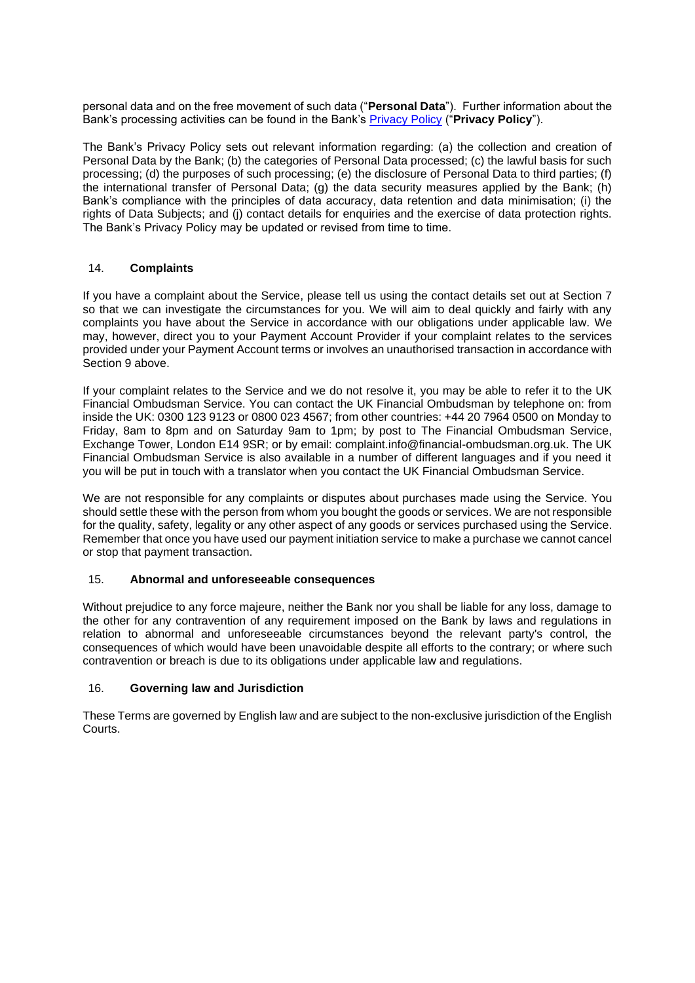personal data and on the free movement of such data ("**Personal Data**"). Further information about the Bank's processing activities can be found in the Bank's [Privacy Policy](https://www.jpmorgan.com/global/disclosures/accountinformationandpaymentinitiationservices/privacypolicy/uk) ("**Privacy Policy**").

The Bank's Privacy Policy sets out relevant information regarding: (a) the collection and creation of Personal Data by the Bank; (b) the categories of Personal Data processed; (c) the lawful basis for such processing; (d) the purposes of such processing; (e) the disclosure of Personal Data to third parties; (f) the international transfer of Personal Data; (g) the data security measures applied by the Bank; (h) Bank's compliance with the principles of data accuracy, data retention and data minimisation; (i) the rights of Data Subjects; and (j) contact details for enquiries and the exercise of data protection rights. The Bank's Privacy Policy may be updated or revised from time to time.

# 14. **Complaints**

If you have a complaint about the Service, please tell us using the contact details set out at Section [7](#page-1-0) so that we can investigate the circumstances for you. We will aim to deal quickly and fairly with any complaints you have about the Service in accordance with our obligations under applicable law. We may, however, direct you to your Payment Account Provider if your complaint relates to the services provided under your Payment Account terms or involves an unauthorised transaction in accordance with Section [9](#page-2-0) above.

If your complaint relates to the Service and we do not resolve it, you may be able to refer it to the UK Financial Ombudsman Service. You can contact the UK Financial Ombudsman by telephone on: from inside the UK: 0300 123 9123 or 0800 023 4567; from other countries: +44 20 7964 0500 on Monday to Friday, 8am to 8pm and on Saturday 9am to 1pm; by post to The Financial Ombudsman Service, Exchange Tower, London E14 9SR; or by email: complaint.info@financial-ombudsman.org.uk. The UK Financial Ombudsman Service is also available in a number of different languages and if you need it you will be put in touch with a translator when you contact the UK Financial Ombudsman Service.

We are not responsible for any complaints or disputes about purchases made using the Service. You should settle these with the person from whom you bought the goods or services. We are not responsible for the quality, safety, legality or any other aspect of any goods or services purchased using the Service. Remember that once you have used our payment initiation service to make a purchase we cannot cancel or stop that payment transaction.

#### 15. **Abnormal and unforeseeable consequences**

Without prejudice to any force majeure, neither the Bank nor you shall be liable for any loss, damage to the other for any contravention of any requirement imposed on the Bank by laws and regulations in relation to abnormal and unforeseeable circumstances beyond the relevant party's control, the consequences of which would have been unavoidable despite all efforts to the contrary; or where such contravention or breach is due to its obligations under applicable law and regulations.

#### 16. **Governing law and Jurisdiction**

These Terms are governed by English law and are subject to the non-exclusive jurisdiction of the English Courts.